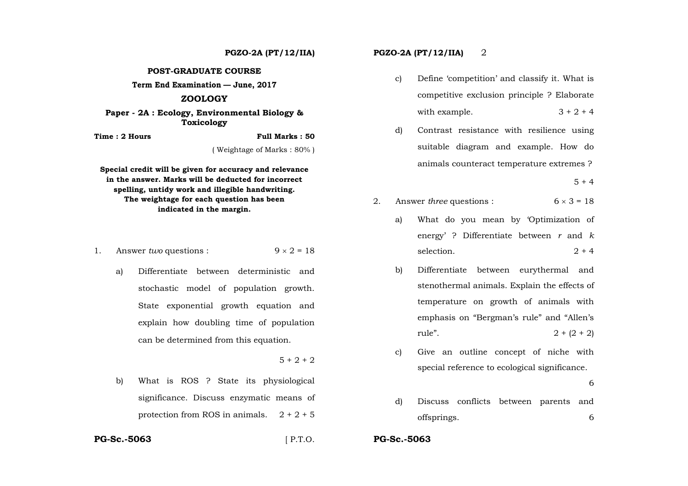**POST-GRADUATE COURSE** 

**Term End Examination — June, 2017** 

## **ZOOLOGY**

**Paper - 2A : Ecology, Environmental Biology & Toxicology**

**Time : 2 Hours Full Marks : 50** 

( Weightage of Marks : 80% )

**Special credit will be given for accuracy and relevance in the answer. Marks will be deducted for incorrect spelling, untidy work and illegible handwriting. The weightage for each question has been indicated in the margin.** 

- 1. Answer *two* questions :  $9 \times 2 = 18$ 
	- a) Differentiate between deterministic and stochastic model of population growth. State exponential growth equation and explain how doubling time of population can be determined from this equation.

 $5 + 2 + 2$ 

b) What is ROS ? State its physiological significance. Discuss enzymatic means of protection from ROS in animals.  $2 + 2 + 5$ 

**PGZO-2A (PT/12/IIA) PGZO-2A (PT/12/IIA)** 2

- c) Define 'competition' and classify it. What is competitive exclusion principle ? Elaborate with example.  $3 + 2 + 4$
- d) Contrast resistance with resilience using suitable diagram and example. How do animals counteract temperature extremes ?

 $5 + 4$ 

- 2. Answer *three* questions :  $6 \times 3 = 18$ 
	- a) What do you mean by 'Optimization of energy' ? Differentiate between *r* and *k* selection.  $2 + 4$
	- b) Differentiate between eurythermal and stenothermal animals. Explain the effects of temperature on growth of animals with emphasis on "Bergman's rule" and "Allen's rule".  $2 + (2 + 2)$
	- c) Give an outline concept of niche with special reference to ecological significance.

 $\overline{6}$ 6

d) Discuss conflicts between parents and offsprings. 6

**PG-Sc.-5063**

[ P.T.O. **PG-Sc.-5063**